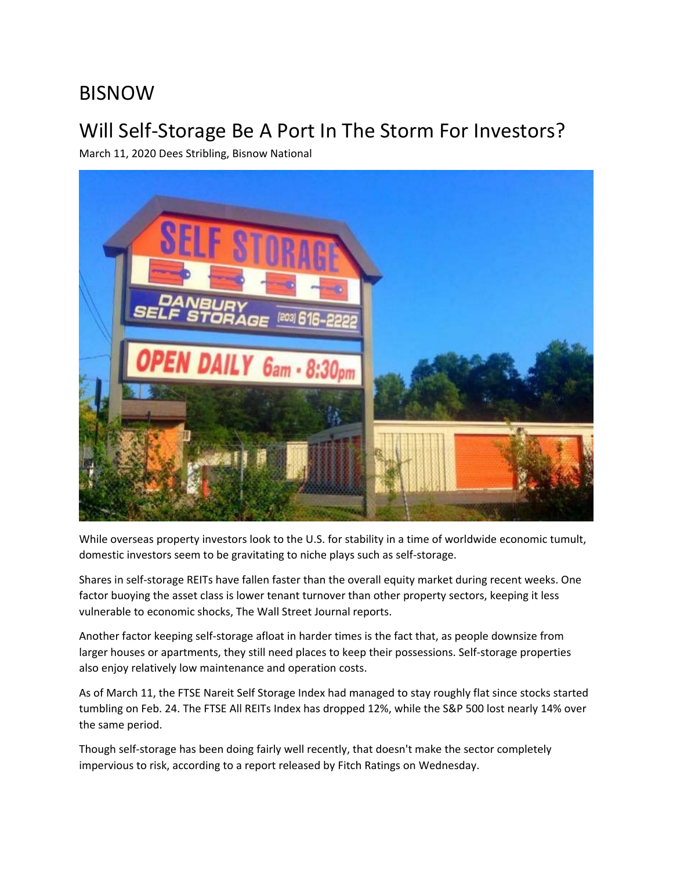## BISNOW

## Will Self‐Storage Be A Port In The Storm For Investors?

March 11, 2020 Dees Stribling, Bisnow National



While overseas property investors look to the U.S. for stability in a time of worldwide economic tumult, domestic investors seem to be gravitating to niche plays such as self‐storage.

Shares in self‐storage REITs have fallen faster than the overall equity market during recent weeks. One factor buoying the asset class is lower tenant turnover than other property sectors, keeping it less vulnerable to economic shocks, The Wall Street Journal reports.

Another factor keeping self‐storage afloat in harder times is the fact that, as people downsize from larger houses or apartments, they still need places to keep their possessions. Self‐storage properties also enjoy relatively low maintenance and operation costs.

As of March 11, the FTSE Nareit Self Storage Index had managed to stay roughly flat since stocks started tumbling on Feb. 24. The FTSE All REITs Index has dropped 12%, while the S&P 500 lost nearly 14% over the same period.

Though self-storage has been doing fairly well recently, that doesn't make the sector completely impervious to risk, according to a report released by Fitch Ratings on Wednesday.